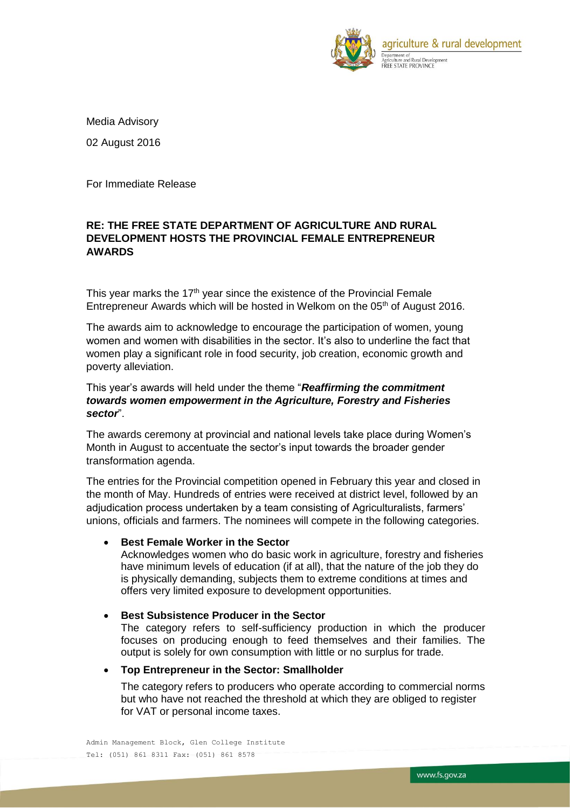

Media Advisory 02 August 2016

For Immediate Release

# **RE: THE FREE STATE DEPARTMENT OF AGRICULTURE AND RURAL DEVELOPMENT HOSTS THE PROVINCIAL FEMALE ENTREPRENEUR AWARDS**

This year marks the 17<sup>th</sup> year since the existence of the Provincial Female Entrepreneur Awards which will be hosted in Welkom on the 05<sup>th</sup> of August 2016.

The awards aim to acknowledge to encourage the participation of women, young women and women with disabilities in the sector. It's also to underline the fact that women play a significant role in food security, job creation, economic growth and poverty alleviation.

# This year's awards will held under the theme "*Reaffirming the commitment towards women empowerment in the Agriculture, Forestry and Fisheries sector*".

The awards ceremony at provincial and national levels take place during Women's Month in August to accentuate the sector's input towards the broader gender transformation agenda.

The entries for the Provincial competition opened in February this year and closed in the month of May. Hundreds of entries were received at district level, followed by an adjudication process undertaken by a team consisting of Agriculturalists, farmers' unions, officials and farmers. The nominees will compete in the following categories.

# **Best Female Worker in the Sector**

Acknowledges women who do basic work in agriculture, forestry and fisheries have minimum levels of education (if at all), that the nature of the job they do is physically demanding, subjects them to extreme conditions at times and offers very limited exposure to development opportunities.

# **Best Subsistence Producer in the Sector**

The category refers to self-sufficiency production in which the producer focuses on producing enough to feed themselves and their families. The output is solely for own consumption with little or no surplus for trade.

# **Top Entrepreneur in the Sector: Smallholder**

The category refers to producers who operate according to commercial norms but who have not reached the threshold at which they are obliged to register for VAT or personal income taxes.